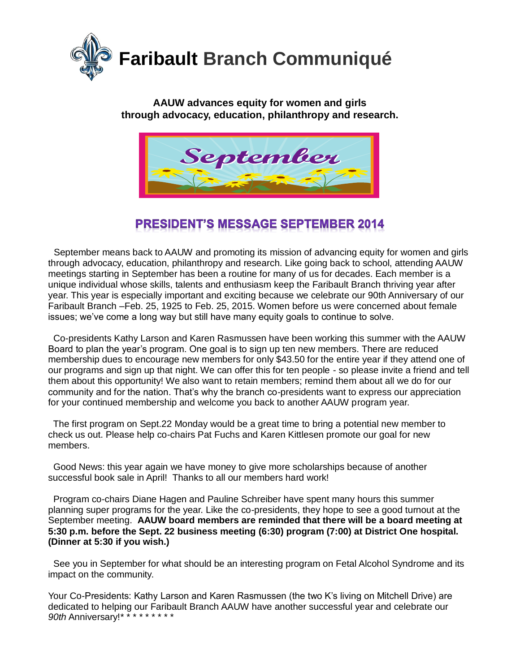

#### **AAUW advances equity for women and girls through advocacy, education, philanthropy and research.**



# **PRESIDENT'S MESSAGE SEPTEMBER 2014**

 September means back to AAUW and promoting its mission of advancing equity for women and girls through advocacy, education, philanthropy and research. Like going back to school, attending AAUW meetings starting in September has been a routine for many of us for decades. Each member is a unique individual whose skills, talents and enthusiasm keep the Faribault Branch thriving year after year. This year is especially important and exciting because we celebrate our 90th Anniversary of our Faribault Branch –Feb. 25, 1925 to Feb. 25, 2015. Women before us were concerned about female issues; we've come a long way but still have many equity goals to continue to solve.

 Co-presidents Kathy Larson and Karen Rasmussen have been working this summer with the AAUW Board to plan the year's program. One goal is to sign up ten new members. There are reduced membership dues to encourage new members for only \$43.50 for the entire year if they attend one of our programs and sign up that night. We can offer this for ten people - so please invite a friend and tell them about this opportunity! We also want to retain members; remind them about all we do for our community and for the nation. That's why the branch co-presidents want to express our appreciation for your continued membership and welcome you back to another AAUW program year.

 The first program on Sept.22 Monday would be a great time to bring a potential new member to check us out. Please help co-chairs Pat Fuchs and Karen Kittlesen promote our goal for new members.

 Good News: this year again we have money to give more scholarships because of another successful book sale in April! Thanks to all our members hard work!

 Program co-chairs Diane Hagen and Pauline Schreiber have spent many hours this summer planning super programs for the year. Like the co-presidents, they hope to see a good turnout at the September meeting. **AAUW board members are reminded that there will be a board meeting at 5:30 p.m. before the Sept. 22 business meeting (6:30) program (7:00) at District One hospital. (Dinner at 5:30 if you wish.)**

 See you in September for what should be an interesting program on Fetal Alcohol Syndrome and its impact on the community.

Your Co-Presidents: Kathy Larson and Karen Rasmussen (the two K's living on Mitchell Drive) are dedicated to helping our Faribault Branch AAUW have another successful year and celebrate our *90th* Anniversary!\* \* \* \* \* \* \* \* \*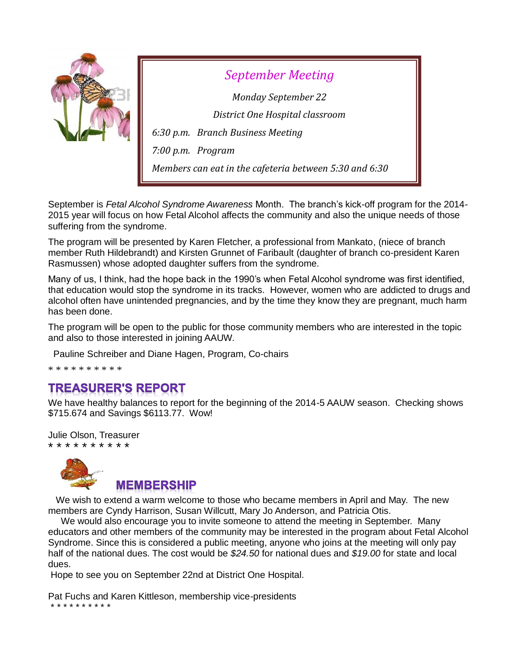

*September Meeting Monday September 22 District One Hospital classroom 6:30 p.m. Branch Business Meeting 7:00 p.m. Program Members can eat in the cafeteria between 5:30 and 6:30*

September is *Fetal Alcohol Syndrome Awareness* Month. The branch's kick-off program for the 2014- 2015 year will focus on how Fetal Alcohol affects the community and also the unique needs of those suffering from the syndrome.

The program will be presented by Karen Fletcher, a professional from Mankato, (niece of branch member Ruth Hildebrandt) and Kirsten Grunnet of Faribault (daughter of branch co-president Karen Rasmussen) whose adopted daughter suffers from the syndrome.

Many of us, I think, had the hope back in the 1990's when Fetal Alcohol syndrome was first identified, that education would stop the syndrome in its tracks. However, women who are addicted to drugs and alcohol often have unintended pregnancies, and by the time they know they are pregnant, much harm has been done.

The program will be open to the public for those community members who are interested in the topic and also to those interested in joining AAUW.

Pauline Schreiber and Diane Hagen, Program, Co-chairs

\* \* \* \* \* \* \* \* \* \*

### **TREASURER'S REPORT**

We have healthy balances to report for the beginning of the 2014-5 AAUW season. Checking shows \$715.674 and Savings \$6113.77. Wow!

Julie Olson, Treasurer \* \* \* \* \* \* \* \* \* \*



 We wish to extend a warm welcome to those who became members in April and May. The new members are Cyndy Harrison, Susan Willcutt, Mary Jo Anderson, and Patricia Otis.

 We would also encourage you to invite someone to attend the meeting in September. Many educators and other members of the community may be interested in the program about Fetal Alcohol Syndrome. Since this is considered a public meeting, anyone who joins at the meeting will only pay half of the national dues. The cost would be *\$24.50* for national dues and *\$19.00* for state and local dues.

Hope to see you on September 22nd at District One Hospital.

Pat Fuchs and Karen Kittleson, membership vice-presidents \* \* \* \* \* \* \* \* \* \*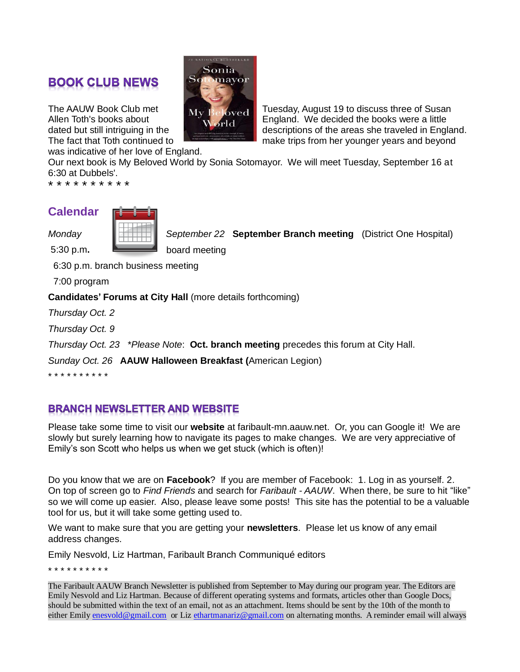## **BOOK CLUB NEWS**

was indicative of her love of England.

Our next book is My Beloved World by Sonia Sotomayor. We will meet Tuesday, September 16 at 6:30 at Dubbels'.

\* \* \* \* \* \* \* \* \* \*

#### **Calendar**



*Monday September 22* **September Branch meeting** (District One Hospital) 5:30 p.m**.** board meeting

6:30 p.m. branch business meeting

7:00 program

**Candidates' Forums at City Hall** (more details forthcoming)

*Thursday Oct. 2*

*Thursday Oct. 9*

*Thursday Oct. 23* \**Please Note*: **Oct. branch meeting** precedes this forum at City Hall.

*Sunday Oct. 26* **AAUW Halloween Breakfast (**American Legion)

\* \* \* \* \* \* \* \* \* \*

### **BRANCH NEWSLETTER AND WEBSITE**

Please take some time to visit our **website** at faribault-mn.aauw.net. Or, you can Google it! We are slowly but surely learning how to navigate its pages to make changes. We are very appreciative of Emily's son Scott who helps us when we get stuck (which is often)!

Do you know that we are on **Facebook**? If you are member of Facebook: 1. Log in as yourself. 2. On top of screen go to *Find Friends* and search for *Faribault - AAUW*. When there, be sure to hit "like" so we will come up easier. Also, please leave some posts! This site has the potential to be a valuable tool for us, but it will take some getting used to.

We want to make sure that you are getting your **newsletters**. Please let us know of any email address changes.

Emily Nesvold, Liz Hartman, Faribault Branch Communiqué editors

\* \* \* \* \* \* \* \* \* \*

The Faribault AAUW Branch Newsletter is published from September to May during our program year. The Editors are Emily Nesvold and Liz Hartman. Because of different operating systems and formats, articles other than Google Docs, should be submitted within the text of an email, not as an attachment. Items should be sent by the 10th of the month to either Emily [enesvold@gmail.com](mailto:enesvold@gmail.com) or Liz [ethartmanariz@gmail.com](mailto:ethartmanariz@gmail.com) on alternating months. A reminder email will always



The AAUW Book Club met My Beloyed Tuesday, August 19 to discuss three of Susan Allen Toth's books about **England.** England. We decided the books were a little dated but still intriguing in the descriptions of the areas she traveled in England. The fact that Toth continued to make trips from her younger years and beyond